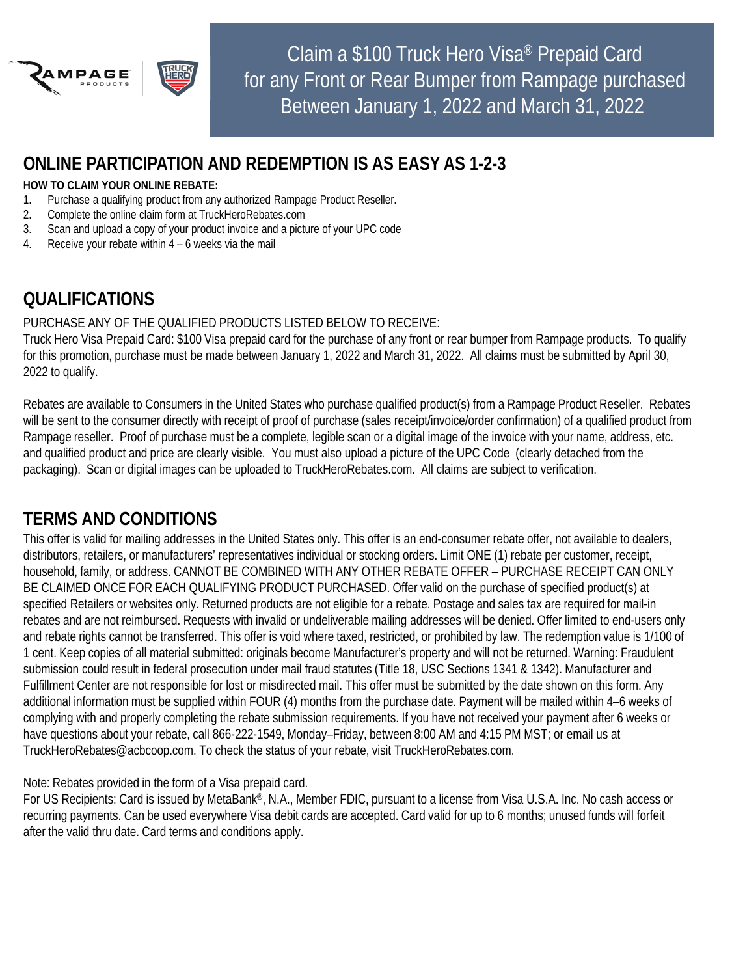

Claim a \$100 Truck Hero Visa® Prepaid Card for any Front or Rear Bumper from Rampage purchased Between January 1, 2022 and March 31, 2022

### **ONLINE PARTICIPATION AND REDEMPTION IS AS EASY AS 1-2-3**

#### **HOW TO CLAIM YOUR ONLINE REBATE:**

- 1. Purchase a qualifying product from any authorized Rampage Product Reseller.
- 2. Complete the online claim form at TruckHeroRebates.com
- 3. Scan and upload a copy of your product invoice and a picture of your UPC code
- 4. Receive your rebate within 4 6 weeks via the mail

# **QUALIFICATIONS**

#### PURCHASE ANY OF THE QUALIFIED PRODUCTS LISTED BELOW TO RECEIVE:

Truck Hero Visa Prepaid Card: \$100 Visa prepaid card for the purchase of any front or rear bumper from Rampage products. To qualify for this promotion, purchase must be made between January 1, 2022 and March 31, 2022. All claims must be submitted by April 30, 2022 to qualify.

Rebates are available to Consumers in the United States who purchase qualified product(s) from a Rampage Product Reseller. Rebates will be sent to the consumer directly with receipt of proof of purchase (sales receipt/invoice/order confirmation) of a qualified product from Rampage reseller. Proof of purchase must be a complete, legible scan or a digital image of the invoice with your name, address, etc. and qualified product and price are clearly visible. You must also upload a picture of the UPC Code (clearly detached from the packaging). Scan or digital images can be uploaded to TruckHeroRebates.com. All claims are subject to verification.

# **TERMS AND CONDITIONS**

This offer is valid for mailing addresses in the United States only. This offer is an end-consumer rebate offer, not available to dealers, distributors, retailers, or manufacturers' representatives individual or stocking orders. Limit ONE (1) rebate per customer, receipt, household, family, or address. CANNOT BE COMBINED WITH ANY OTHER REBATE OFFER – PURCHASE RECEIPT CAN ONLY BE CLAIMED ONCE FOR EACH QUALIFYING PRODUCT PURCHASED. Offer valid on the purchase of specified product(s) at specified Retailers or websites only. Returned products are not eligible for a rebate. Postage and sales tax are required for mail-in rebates and are not reimbursed. Requests with invalid or undeliverable mailing addresses will be denied. Offer limited to end-users only and rebate rights cannot be transferred. This offer is void where taxed, restricted, or prohibited by law. The redemption value is 1/100 of 1 cent. Keep copies of all material submitted: originals become Manufacturer's property and will not be returned. Warning: Fraudulent submission could result in federal prosecution under mail fraud statutes (Title 18, USC Sections 1341 & 1342). Manufacturer and Fulfillment Center are not responsible for lost or misdirected mail. This offer must be submitted by the date shown on this form. Any additional information must be supplied within FOUR (4) months from the purchase date. Payment will be mailed within 4–6 weeks of complying with and properly completing the rebate submission requirements. If you have not received your payment after 6 weeks or have questions about your rebate, call 866-222-1549, Monday–Friday, between 8:00 AM and 4:15 PM MST; or email us at TruckHeroRebates@acbcoop.com. To check the status of your rebate, visit TruckHeroRebates.com.

Note: Rebates provided in the form of a Visa prepaid card.

For US Recipients: Card is issued by MetaBank®, N.A., Member FDIC, pursuant to a license from Visa U.S.A. Inc. No cash access or recurring payments. Can be used everywhere Visa debit cards are accepted. Card valid for up to 6 months; unused funds will forfeit after the valid thru date. Card terms and conditions apply.